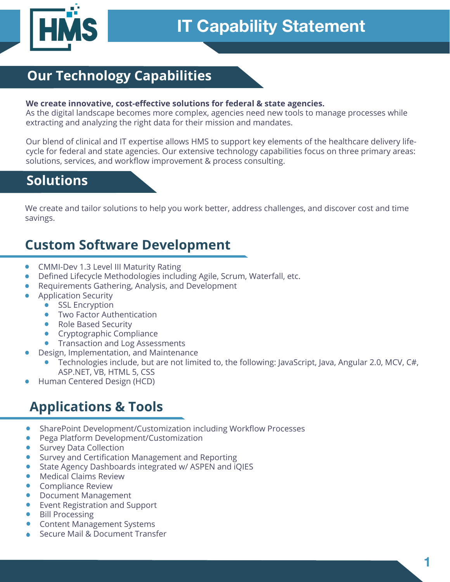

### **Our Technology Capabilities**

### **We create innovative, cost-effective solutions for federal & state agencies.**

As the digital landscape becomes more complex, agencies need new tools to manage processes while extracting and analyzing the right data for their mission and mandates.

Our blend of clinical and IT expertise allows HMS to support key elements of the healthcare delivery lifecycle for federal and state agencies. Our extensive technology capabilities focus on three primary areas: solutions, services, and workflow improvement & process consulting.

### **Solutions**

We create and tailor solutions to help you work better, address challenges, and discover cost and time savings.

### **Custom Software Development**

- CMMI-Dev 1.3 Level III Maturity Rating
- Defined Lifecycle Methodologies including Agile, Scrum, Waterfall, etc.
- Requirements Gathering, Analysis, and Development
- Application Security
	- **SSL Encryption**
	- Two Factor Authentication
	- Role Based Security
	- Cryptographic Compliance
	- **Transaction and Log Assessments**
- Design, Implementation, and Maintenance
	- Technologies include, but are not limited to, the following: JavaScript, Java, Angular 2.0, MCV, C#, ASP.NET, VB, HTML 5, CSS
- Human Centered Design (HCD)

### **Applications & Tools**

- SharePoint Development/Customization including Workflow Processes
- Pega Platform Development/Customization
- Survey Data Collection
- Survey and Certification Management and Reporting
- State Agency Dashboards integrated w/ ASPEN and iQIES
- Medical Claims Review
- Compliance Review
- Document Management
- Event Registration and Support
- **Bill Processing**
- Content Management Systems
- Secure Mail & Document Transfer